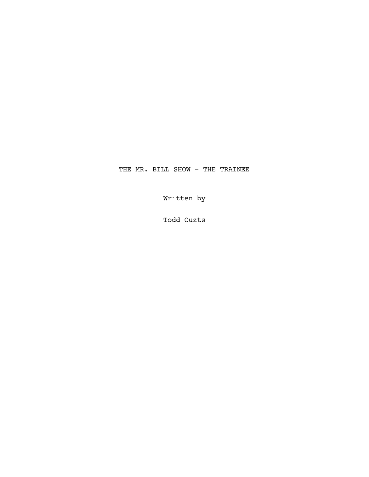THE MR. BILL SHOW - THE TRAINEE

Written by

Todd Ouzts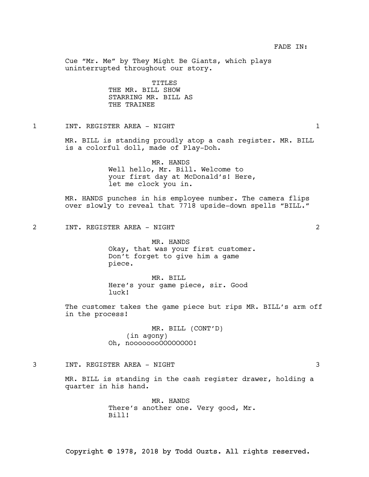Cue "Mr. Me" by They Might Be Giants, which plays uninterrupted throughout our story.

> TITLES THE MR. BILL SHOW STARRING MR. BILL AS THE TRAINEE

1 INT. REGISTER AREA - NIGHT 1

MR. BILL is standing proudly atop a cash register. MR. BILL is a colorful doll, made of Play-Doh.

> MR. HANDS Well hello, Mr. Bill. Welcome to your first day at McDonald's! Here, let me clock you in.

MR. HANDS punches in his employee number. The camera flips over slowly to reveal that 7718 upside-down spells "BILL."

2 INT. REGISTER AREA - NIGHT 2

MR. HANDS Okay, that was your first customer. Don't forget to give him a game piece.

MR. BILL Here's your game piece, sir. Good luck!

The customer takes the game piece but rips MR. BILL's arm off in the process!

> MR. BILL (CONT'D) (in agony) Oh, noooooooOOOOOOOO!

## 3 INT. REGISTER AREA - NIGHT 3

MR. BILL is standing in the cash register drawer, holding a quarter in his hand.

> MR. HANDS There's another one. Very good, Mr. Bill!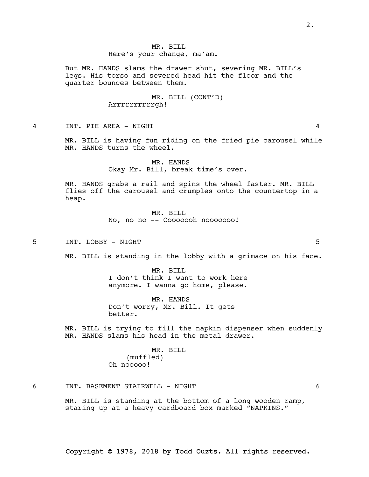2.

## Copyright © 1978, 2018 by Todd Ouzts. All rights reserved.

## MR. BILL Here's your change, ma'am.

But MR. HANDS slams the drawer shut, severing MR. BILL's legs. His torso and severed head hit the floor and the quarter bounces between them.

> MR. BILL (CONT'D) Arrrrrrrrrrgh!

4 INT. PIE AREA - NIGHT 4

MR. BILL is having fun riding on the fried pie carousel while MR. HANDS turns the wheel.

> MR. HANDS Okay Mr. Bill, break time's over.

MR. HANDS grabs a rail and spins the wheel faster. MR. BILL flies off the carousel and crumples onto the countertop in a heap.

> MR. BILL No, no no -- Oooooooh nooooooo!

5 INT. LOBBY - NIGHT 5

MR. BILL is standing in the lobby with a grimace on his face.

MR. BILL I don't think I want to work here anymore. I wanna go home, please.

MR. HANDS Don't worry, Mr. Bill. It gets better.

MR. BILL is trying to fill the napkin dispenser when suddenly MR. HANDS slams his head in the metal drawer.

> MR. BILL (muffled) Oh nooooo!

6 INT. BASEMENT STAIRWELL - NIGHT 6

MR. BILL is standing at the bottom of a long wooden ramp, staring up at a heavy cardboard box marked "NAPKINS."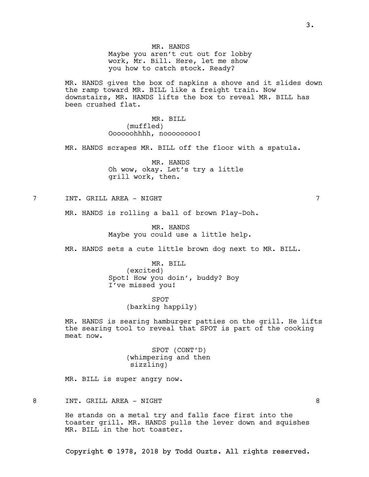MR. HANDS Maybe you aren't cut out for lobby work, Mr. Bill. Here, let me show you how to catch stock. Ready?

MR. HANDS gives the box of napkins a shove and it slides down the ramp toward MR. BILL like a freight train. Now downstairs, MR. HANDS lifts the box to reveal MR. BILL has been crushed flat.

> MR. BILL (muffled) Oooooohhhh, noooooooo!

MR. HANDS scrapes MR. BILL off the floor with a spatula.

MR. HANDS Oh wow, okay. Let's try a little grill work, then.

7 INT. GRILL AREA - NIGHT 7

MR. HANDS is rolling a ball of brown Play-Doh.

MR. HANDS Maybe you could use a little help.

MR. HANDS sets a cute little brown dog next to MR. BILL.

MR. BILL (excited) Spot! How you doin', buddy? Boy I've missed you!

> SPOT (barking happily)

MR. HANDS is searing hamburger patties on the grill. He lifts the searing tool to reveal that SPOT is part of the cooking meat now.

> SPOT (CONT'D) (whimpering and then sizzling)

MR. BILL is super angry now.

8 INT. GRILL AREA - NIGHT 8

He stands on a metal try and falls face first into the toaster grill. MR. HANDS pulls the lever down and squishes MR. BILL in the hot toaster.

Copyright © 1978, 2018 by Todd Ouzts. All rights reserved.